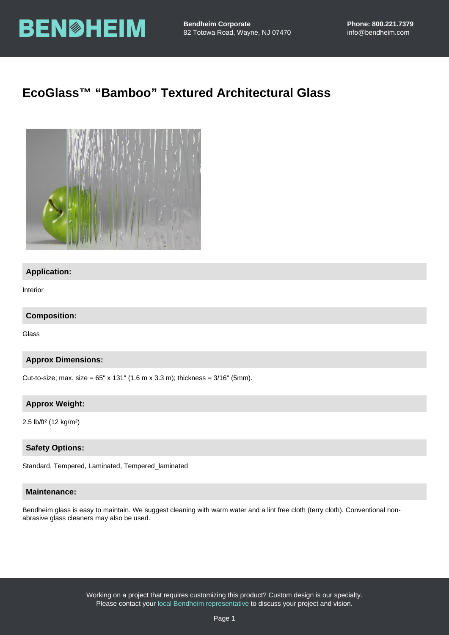# EcoGlass™ "Bamboo" Textured Architectural Glass

### Application:

Interior

Composition:

Glass

Approx Dimensions:

Cut-to-size; max. size =  $65"$  x 131" (1.6 m x 3.3 m); thickness =  $3/16"$  (5mm).

Approx Weight:

2.5 lb/ft² (12 kg/m²)

Safety Options:

Standard, Tempered, Laminated, Tempered\_laminated

#### Maintenance:

Bendheim glass is easy to maintain. We suggest cleaning with warm water and a lint free cloth (terry cloth). Conventional nonabrasive glass cleaners may also be used.

> Working on a project that requires customizing this product? Custom design is our specialty. Please contact your [local Bendheim representative](https://bendheim.com/professional/find-a-rep/) to discuss your project and vision.